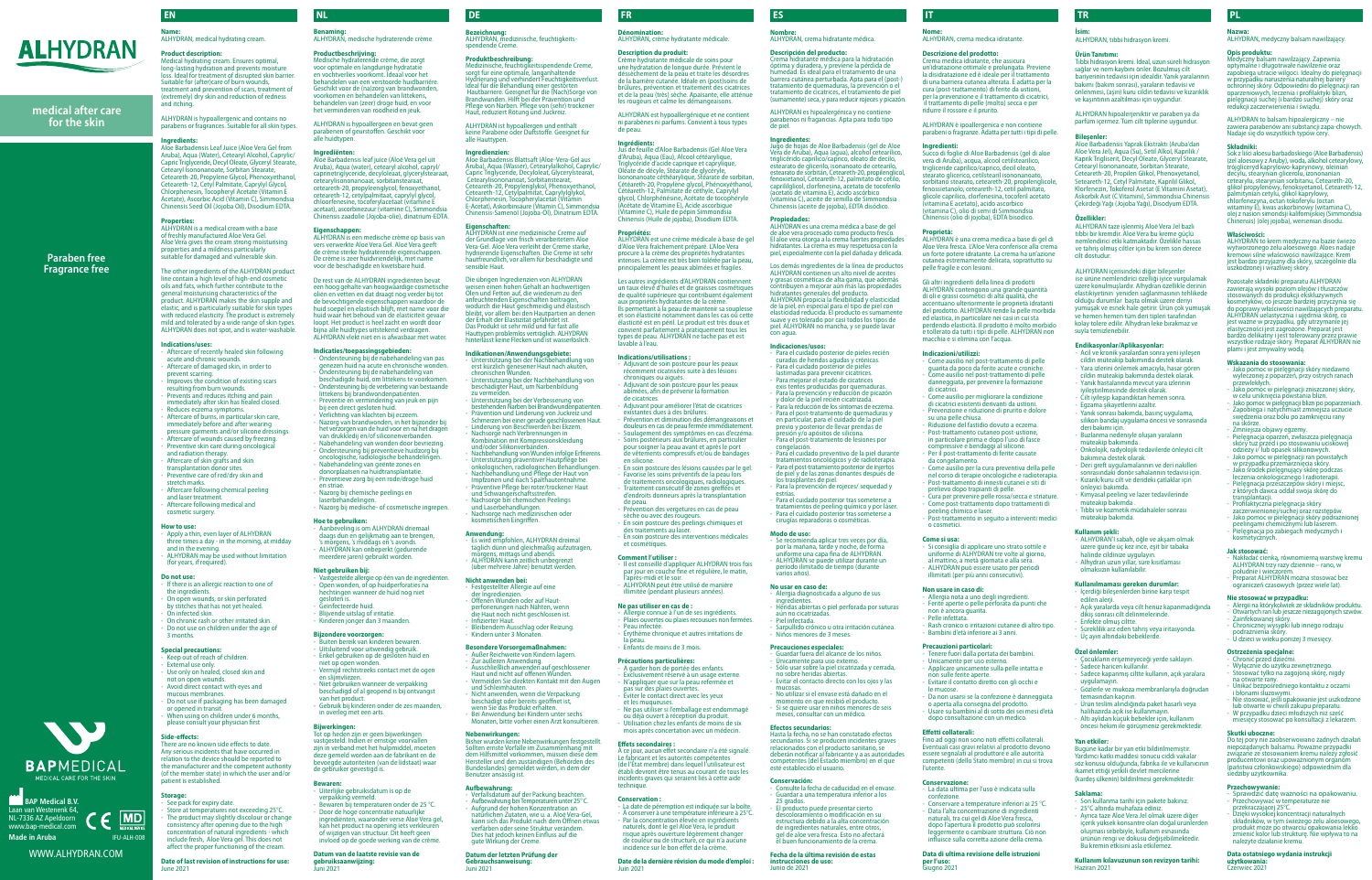Medische hydraterende crème, die zorgt voor optimale en langdurige hydratatie en vochtverlies voorkomt. Ideaal voor het andelen van een verstoorde huidbarriére Geschikt voor de (na)zorg van brandwonden, voorkomen en behandelen van littekens, behandelen van (zeer) droge huid, en voor het verminderen van roodheid en jeuk. ALHYDRAN is hypoallergeen en bevat geen parabenen of geurstoffen. Geschikt voor

alle huidtypen. **Ingrediënten:**

bij een direct gesloten huid. - Verlichting van klachten bij eczeem. - Nazorg van brandwonden, in het bijzonder bij het verzorgen van de huid voor en na het dragen van drukkledij en/of siliconenverbanden. Nabehandeling van wonden door bevriezing - Ondersteuning bij preventieve huidzorg bij oncologische, radiologische behandelingen. - Nabehandeling van geënte zones en donorplaatsen na huidtransplantatie. Preventieve zorg bij een rode/droge huid

Aloë Barbadensis leaf juice (Aloë Vera gel uit Aruba), Aqua (water), cetearyl alcohol, capryl/ caprinetriglyceride, decyloleaat, glycerylstearaat, onanoaat, sorbitan ceteareth-20, propyleenglycol, fenoxyethanol, ceteareth-12, cetylpalmitaat, caprylyl glycol, chloop continued to the program. acetaat), ascorbinezuur (vitamine C), Simmondsia ensis zaadolie (Jojoba-olie), dinatrium-EDTA **Eigenschappen:** ALHYDRAN is een medische crème op basis van vers verwerkte Aloë Vera Gel. Aloë Vera geeft e crème sterke hydraterende eigense De crème is zeer huidvriendelijk, met name voor de beschadigde en kwetsbare huid. De rest van de ALHYDRAN ingrediënten bevat een hoog gehalte van hoogwaardige cosmetische oliën en vetten en dat draagt nog verder bij tot de bevochtigende eigenschappen waardoor de huid soepel en elastisch blijft, met name voor die huid waar het behoud van de elasticiteit gevaar loopt. Het product is heel zacht en wordt door bijna alle huidtypes uitstekend verdragen. ALHYDRAN vlekt niet en is afwasbaar met water.

- Aanbeveling is om ALHYDRAN driemaal daags dun en gelijkmatig aan te brengen, 's morgens, 's middags en 's avonds. - ALHYDRAN kan onbeperkt (gedurende meerdere jaren) gebruikt worden.

**Indicaties/toepassingsgebieden:**  - Ondersteuning bij de nabehandeling van pas genezen huid na acute en chronische wonden. en naturalität deute en embinische won beschadigde huid, om littekens te voorkomen. Ondersteuning bij de verbetering van bestaande littekens bij brandwondenpatiënten. - Preventie en vermindering van jeuk en pijn

**omination:** ALHYDRAN, crème hydratante médicale.

en striae.

- Nazorg bij chemische peelings en laserbehandelingen. - Nazorg bij medische- of cosmetische ingrepen.

**Hoe te gebruiken:**

**Niet gebruiken bij:**

- Vastgestelde allergie op één van de ingrediënten. - Open wonden, of op huidperforaties na hechtingen wanneer de huid nog niet

nettant à la peau de maintenir sa souplesse et son élasticité notamment dans les cas où cette élasticité est en péril. Le produit est très doux et convient parfaitement à pratiquement tous les types de peau. ALHYDRAN ne tache pas et est

gesloten is. gesioten is:<br>Geïnfecteerde huid Blijvende uitslag of irritatie - Kinderen jonger dan 3 maanden. **Bijzondere voorzorgen:**

Adjuvant de soin postcure pour les peaux récemment cicatrisées suite à des lésions nnent etermese.<br>Igues ou aiguës. Adjuvant de soin postcure pour les peaux abimées, afin de prévenir la formation

- Buiten bereik van kinderen bewaren. - Uitsluitend voor uitwendig gebruik. - Enkel gebruiken op de gesloten huid en

niet op open wonden.

- Vermijd rechtstreeks contact met de ogen en slijmvliezen. - Niet gebruiken wanneer de verpakking beschadigd of al geopend is bij ontvangst

van het product.

- Gebruik bij kinderen onder de zes maanden,

in overleg met een arts.

<sub>- eu.</sub><br><sub>P</sub>revention des vergetures en cas de peau sèche ou avec des rougeurs. - En soin postcure des peelings chimiques et

des datements du fasel.<br>En soin postcure des interventions médicales

**Bijwerkingen:**

Tot op heden zijn er geen bijwerkingen

- Il est conseillé d'appliquer ALHYDRAN trois fois par jour en couche fine et régulière, le matin,

irès-midi et le soir. ALHYDRAN peut être utilisé de manière illimitée (pendant plusieurs années).

as allimer en las de l'<br>ergie connue à l'un de ses ingrédients - Plaies ouvertes ou plaies recousues non fermées.

### **Bewaren:**

- Uiterlijke gebruiksdatum is op de verpakking vermeld.

pas sur des plaies ouv - Éviter le contact direct avec les yeux

- Bewaren bij temperaturen onder de 25 °C. Door de hoge concentratie natuurlijke ingrediënten, waaronder verse Aloë Vera gel, kan het product na opening iets verkleuren of wijzigen van structuur. Dit heeft geen invloed op de goede werking van de crème.

**Datum van de laatste revisie van de gebruiksaanwijzing:** Juni 2021

technique **Conservation :**

## **Description du produit:**  Crème hydratante médicale de soins pour une hydratation de longue durée. Prévient le

La date de péremption est indiquée sur la boîte. - À conserver à une température inférieure à 25°C. - Par la concentration élevée en ingrédients naturels, dont le gel Aloë Vera, le produit risque après ouverture légèrement changer de couleur ou de structure, ce qui n'a aucune incidence sur le bon effet de la crème. **Date de la dernière révision du mode d'emploi :**

déssèchement de la peau et traite les désordres de la barrière cutanée. Idéale en (post)soins de brûlures, prévention et traitement des cicatrices et de la peau (très) sèche. Apaisante, elle atténue les rougeurs et calme les démangeaisons. ALHYDRAN est hypoallergénique et ne contient ni parabènes ni parfums. Convient à tous types

de peau. **Ingrédients:**

Jus de feuille d'Aloe Barbadensis (Gel Aloe Vera d'Aruba), Aqua (Eau), Alcool cétéarylique Triglycéride d'acide caprique et caprylique, Oléate de décyle, Stéarate de glycéryle, Isononanoate céthéarylique, Stéarate de sorbitan, Cétéareth-20, Propylène glycol, Phénoxyéthanol, Cétéareth-12, Palmitate de céthyle, Caprylyl glycol, Chlorphénésine, Acétate de tocop (Acétate de Vitamine E), Acide ascorbique (Vitamine C), Huile de pépin Simmondsia Chinensis (Huile de jojoba), Disodium EDTA. **Propriétés:**  ALHYDRAN est une crème médicale à base de gel d'Aloe Vera fraîchement préparé. L'Aloe Vera procure à la crème des propriétés hydratantes intenses. La crème est très bien tolérée par la peau, principalement les peaux abîmées et fragiles. Les autres ingrédients d'ALHYDRAN contienne un taux élevé d'huiles et de graisses cosmétiques de qualité supérieure qui contribuent égalemer aux propriétés hydratantes de la crème.

lavable à l'eau.

**Indications/utilisations :** 

dicatrices.

There are no known side effects to date. Any serious incidents that have occurred in  $r$ elation to the device should be reported to the manufacturer and the competent authority of the member state) in which the user and/or patient is established.

See pack for expiry date. Store at temperatures not exceeding 25°C. The product may slightly discolour or change consistency after opening due to the high mobising and international ingredients and international international international international internation<br>Second international international international international international international international inter include fresh, Aloe Vera gel. This does not affect the proper functioning of the cream.

**Benaming:**  ALHYDRAN, medische hydraterende crème. **Productbeschrijving:**<br>Medische hydraterende crème, die zorgt **Bezeichnung:** ALHYDRAN, medizinische, feuchtigkeitsspendende Creme.

> Medizinische, feuchtigkeitsspendende Creme, sorgt für eine optimale, langanhaltende Hydrierung und verhindert Feuchtigkeitsverlust. Ideal für die Behandlung einer gestörten Hautbarriere. Geeignet für die (Nach)Sorge von Brandwunden. Hilft bei der Prävention und Pflege von Narben. Pflege von (sehr) trockener Haut, reduziert Rötung und Juckreiz.

> > - Adjuvant pour améliorer l'état de cicatrices existantes dues à des brûlures. - Prévention et diminution des démangeaisons et douleurs en cas de peau fermée immédiatement. - Soulagement des symptômes en cas d'eczéma. - Soins postérieurs aux brûlures, en particulier pour soigner la peau avant et après le port de vêtements compressifs et/ou de bandages

en silicone.

- En soin postcure des lésions causées par le gel. rise les soins préventifs de la peau lors de traitements oncologiques, radiologiques. Traitement consécutif de zones greffées et d'endroits donneurs après la transplantation

de peau.

des traitements au laser.

et cosmétiques. **Comment l'utiliser :**

**Indikationen/Anwendungsgebiete:**<br>- Unterstützung bei der Nachbehandlung von<br>- erst kürzlich genesener Haut nach akuten, chronischen Wunden.

**Ne pas utiliser en cas de :** 

- Peau infectée.

- Érythème chronique et autres irritations de

la peau.

- Enfants de moins de 3 mois. **Précautions particulières:**

- A garder hors de portée des enfants. - Exclusivement réservé à un usage externe. - N'appliquer que sur la peau refermée et

et les muqueuses.

- Ne pas utiliser si l'emballage est endommagé ou déjà ouvert à réception du produit. - Utilisation chez les enfants de moins de six mois après concertation avec un médecin.

**Effets secondaires :**

À ce jour, aucun effet secondaire n'a été signalé. Le fabricant et les autorités compétentes (de l'État membre) dans lequel l'utilisateur est établi devront être tenus au courant de tous les incidents graves qui seraient liés à cette aide

Juin 2021

**Name:**  ALHYDRAN, medical hydrating cream.

**Product description:**  Medical hydrating cream. Ensures optimal, long-lasting hydration and prevents moisture loss. Ideal for treatment of disrupted skin barrier. Suitable for (after)care of burn wounds, treatment and prevention of scars, treatment of (extremely) dry skin and reduction of redness and itching.

> ALHYDRAN es una crema médica a base de gel de aloe vera procesado como producto fresco. El aloe vera otorga a la crema fuertes propiedades hidratantes. La crema es muy respetuosa con la piel, especialmente con la piel dañada y delicada. Los demás ingredientes de la línea de productos ALHYDRAN contienen un alto nivel de aceites y grasas cosméticas de alta gama, que además contributo de dita gama, que en contra<br>ribuyen a mejorar aún más las propiedades

ALHYDRAN is hypoallergenic and contains no parabens or fragrances. Suitable for all skin types.

### **Ingredients:**

Aloe Barbadensis Leaf Juice (Aloe Vera Gel from Aruba), Aqua (Water), Cetearyl Alcohol, Caprylic/ Capric Triglyceride, Decyl Oleate, Glyceryl Stearate etearyl Isononanoate, Sorbitan Stearate, Ceteareth-20, Propylene Glycol, Phenoxyethanol, Ceteareth-12, Cetyl Palmitate, Caprylyl Gly Chlorphenesin, Tocopheryl Acetate (Vitamin E Acetate), Ascorbic Acid (Vitamin C), Simm Chinensis Seed Oil (Jojoba Oil), Disodium EDTA.

### **Properties:**

ALHYDRAN is a medical cream with a base of freshly manufactured Aloe Vera Gel. Aloe Vera gives the cream strong moisturising properties and a mildness particularly suitable for damaged and vulnerable skin.

> presión de lleval<br>pri y/o apósitos de silic Para el post-tratamiento de lesiones por congelación. - Para el cuidado preventivo de la piel durante tratamientos oncológicos y de radioterapia. - Para el post-tratamiento posterior de injertos de piel y de las zonas donantes después de los trasplantes de piel. - Para la prevención de rojeces/ sequedad y estrías. - Para el cuidado posterior tras someterse a tratamientos de peeling químico y por láser. - Para el cuidado posterior tras someterse a cirugías reparadoras o cosméticas.

Se recomienda aplicar tres veces por día por la mañana, tarde y noche, de forma unana, tarac y noche, ac forma<br>e una capa fina de ALHYDRAN. - ALHYDRAN se puede utilizar durante un período ilimitado de tiempo (durante varios años).

vastgesteld. Indien er ernstige voorvallen zijn in verband met het hulpmiddel, moeter deze gemeld worden aan de fabrikant en de bevoegde autoriteiten (van de lidstaat) waar de gebruiker gevestigd is. Sollten ernste Vorfälle im Zusammenhang mit dem Hilfsmittel vorkommen, müssen diese dem Hersteller und den zuständigen (Behörden des Bundeslandes) gemeldet werden, in dem der Benutzer ansässig ist.

- Alergia diagnosticada a alguno de sus ingredientes. ngrealentes.<br>Heridas abiertas o piel perforada por suturas

The other ingredients of the ALHYDRAN product line contain a high level of high-end cosmetic oils and fats, which further contribute to the general moisturising characteristics of the product. ALHYDRAN makes the skin supple and elastic, and is particularly suitable for skin types with reduced elasticity. The product is extremely mild and tolerated by a wide range of skin types. ALHYDRAN does not spot, and is water-washable.

#### **Indications/uses:**

- Aftercare of recently healed skin following acute and chronic wounds.
- Aftercare of damaged skin, in order to
- prevent scarring. nevent seaming.<br>mproves the condition of existing scars
- resulting from burn wounds.
- Prevents and reduces itching and pain immediately after skin has healed closed.
- Reduces eczema sympto
- Aftercare of burns, in particular skin care, immediately before and after wearing pressure garments and/or silicone dressings.
- **Aftercare of wounds caused by freezing**
- Preventive skin care during oncological<br>and radiation therapy
- and radiation therapy. Aftercare of skin grafts and skin
- transplantation donor sites.
- Preventive care of red/dry skin and
- stretch marks. Aftercare following chemical peeling
- and laser treatment.
- Aftercare following medical and cosmetic surgery.

#### **How to use:**

- Apply a thin, even layer of ALHYDRAN three times a day - in the morning, at midday
- and in the evening. ALHYDRAN may be used without limitation (for years, if required).

- **Do not use:** If there is an allergic reaction to one of
- the ingredients.
- On open wounds, or skin perforated
- by stitches that has not yet healed. - On infected skin.
- On chronic rash or other irritated skin.
- Do not use on children under the age of 3 months.

### **Special precautions:**

- Keep out of reach of children.
- **External use only**
- Use only on healed, closed skin and
- not on open wounds. Avoid direct contact with eyes and
- mucous membranes.
- Do not use if packaging has been damaged or opened in transit.
- When using on children under 6 months, please consult your physician first

### **Side-effects:**

- Come ausilio nel post-trattamento di pelle guarita da poco da ferite acute e croniche. .<br>Come ausilio nel post-trattamento di pelle danneggiata, per prevenire la formazione di cicatrici.
- Come ausilio per migliorare la condizione di cicatrici esistenti derivanti da ustioni. - Prevenzione e riduzione di prurito e dolore su una pelle chiusa.
- Riduzione del fastidio dovuto a eczema. - Post-trattamento cutaneo post-ustione, in particolare prima e dopo l'uso di fasce pressive e bendaggi al silicone.
- Per il post-trattamento di ferite causate da congelamento. - Come ausilio per la cura preventiva della pelle
- nel corso di terapie oncologiche e radioterapia. - Post-trattamento di innesti cutanei e siti di prelievo dopo trapianti di pelle.
- Cura per prevenire pelle rossa/secca e striature. Come post-trattamento dopo trattamenti di peeling chimico e laser.
- Post-trattamento in seguito a interventi medici o cosmetici.

### **Storage:**

- Rash cronico o irritazioni cutanee di altro tipo. Bambini d'età inferiore ai 3 anni.

#### **Date of last revision of instructions for use:** June 2021

### **Produktbeschreibung:**

### ALHYDRAN ist hypoallergen und enthält keine Parabene oder Duftstoffe. Geeignet für alle Hauttypen.

### **Ingredienzien:**

Aloe Barbadensis Blattsaft (Aloe-Vera-Gel aus Aruba), Aqua (Wasser), Cetearylalkohol, Caprylic/ Capric Triglyceride, Decyloleat, Glycerylstearat, Cetearylisononanoat, Sorbitanstearat, Ceteareth-20, Propylenglykol, Phenoxyethanol,<br>Ceteareth-12, Cetylpalmitat, Caprylylglykol,<br>Chlorphenesin, Tocopherylacetat (Vitamin<br>E-Acetat), Askorbinsäure (Vitamin C), Simmondsia Chinensis-Samenöl (Jojoba-Öl), Dinatrium EDTA.

### **Eigenschaften:**

ALHYDRAN ist eine medizinische Creme auf der Grundlage von frisch verarbeitetem Aloe Vera-Gel. Aloe Vera verleiht der Creme starke, hydrierende Eigenschaften. Die Creme ist seh hautfreundlich, vor allem für beschädigte und sensible Haut. Die übrigen Ingredienzien von ALHYDRAN

weisen einen hohen Gehalt an hochwertigen Ölen und Fetten auf, die wiederum zu den anfeuchtenden Eigenschaften beitragen wodurch die Haut geschmeidig und elastisch bleibt, vor allem bei den Hautpartien an denen der Erhalt der Elastizität gefährdet ist. Das Produkt ist sehr mild und für fast alle Hauttypen problemlos verträglich. ALHYDRAN hinterlässt keine Flecken und ist wasserlöslich.

#### İçerdiği bileşenlerden birine karşı tespit edilen alerji.

- Açık yaralarda veya cilt henüz kapanmadığında dikiş sonrası cilt delinmelerinde.
- Enfekte olmuş ciltte.
- Süreklilik arz eden tahriş veya iritasyonda. Üc avın altındaki bebeklerde
- Unterstützung bei der Nachbehandlung von beschädigter Haut, um Narbenbildung zu vermeiden.
- Unterstützung bei der Verbesserung von bestehenden Narben bei Brandwundenpatienten. - Prävention und Linderung von Juckreiz und Schmerzen bei einer gerade geschlossenen Haut.
- Linderung von Beschwerden bei Ekzem. Nachsorge nach Verbrennungen in Kombination mit Kompressionskleidung
- und/oder Silikonverbänden.
- Nachbehandlung von Wunden infolge Erfrierens.
- Unterstützung präventiver Hautpflege bei onkologischen, radiologischen Behandlungen.
- Nachbehandlung und Pflege der Haut von
- Impfzonen und nach Spalthautentnahme. Präventive Pflege bei roter/trockener Haut und Schwangerschaftsstreifen.
- **Nachsorge bei chemischen Peelings**
- und Laserbehandlungen. Nachsorge nach medizinischen oder kosmetischen Eingriffen.

**Anwendung:** - Es wird empfohlen, ALHYDRAN dreimal täglich dünn und gleichmäßig aufzutragen, morgens, mittags und abends.

## morgens, mittags und aberius.<br>ALHYDRAN kann zeitlich unbegrenzt

**Właściwości:** ALHYDRAN to krem medyczny na bazie świeżo wytworzonego żelu aloesowego. Aloes nadaje kremowi silne właściwości nawilżające. Krem jest bardzo przyjazny dla skóry, szczególnie dla szkodzonei i wrażliwej skóry

- (über mehrere Jahre) benutzt werden.
- **Nicht anwenden bei:** - Festgestellter Allergie auf eine
- der Ingredienzien.
- Offenen Wunden oder auf Haut- perforierungen nach Nähten, wenn
- die Haut noch nicht geschlossen ist.
- Infizierter Haut. Bleibendem Ausschlag oder Reizung. - Kindern unter 3 Monaten.
- **Wskazania do stosowania:**  Jako pomoc w pielęgnacji skóry niedawno wyleczonej z poparzeń, przy ostrych ranach przewlekłych.
- Jako pomoc w pielęgnacji zniszczonej skóry, w celu uniknięcia powstania blizn.
- Jako pomoc w pielęgnacji blizn po poparzeniach. Zapobiega i natychmiast zmniejsza uczucie swędzenia oraz bólu po zamknięciu rany na skórze.
- Zmniejsza objawy egzemy. Pielęgnacja oparzeń, zwłaszcza pielęgnacja skóry tuż przed i po stosowaniu uciskowej odzieży i/ lub opasek silikonowych. - Jako pomoc w pielęgnacji ran powstałych w przypadku przemarznięcia skóry.
- Jako środek pielęgnujący skórę podczas leczenia onkologicznego I radioterapii.
- Pielęgnacja przeszczepów skóry i miejsc, z których dawca oddał swoja skórę do splantacji

### **Besondere Vorsorgemaßnahmen:**

- Außer Reichweite von Kindern lagern. Zur äußeren Anwendung.
- Ausschließlich anwenden auf geschlossener Haut und nicht auf offenen Wunden. - Vermeiden Sie direkten Kontakt mit den Augen und Schleimhäuten.
- Nicht anwenden, wenn die Verpackung beschädigt oder bereits geöffnet ist, wenn Sie das Produkt erhalten.
- Bei Anwendung bei Kindern unter sechs Monaten, bitte vorher einen Arzt konsultieren.

.<br>Profilaktyczna pielęgnacja skóry zaczerwienionej/suchej oraz rozstępów.

- Jako pomoc w pielęgnacji skóry podrażnionej peelingami chemicznymi lub laserem. Pielegnacia po zabiegach medycznych i

## **Nebenwirkungen:** Bisher wurden keine Nebenwirkungen festgestellt.

**Ostrzeżenia specjalne:** Chronić przed dzi Wyłącznie do użytku zewnętrzi sować tylko na zagojoną skórę, nigdy

**Aufbewahrung:** - Verfallsdatum auf der Packung beachten. - Aufbewahrung bei Temperaturen unter 25° C. - Aufgrund der hohen Konzentration an natürlichen Zutaten, wie u. a. Aloë Vera-Gel, kann sich das Produkt nach dem Öffnen etwas verfärben oder seine Struktur verändern. Dies hat jedoch keinen Einfluss auf die gute Wirkung der Creme.

**Datum der letzten Prüfung der Gebrauchsanweisung:**

Juni 2021

**Nombre:** ALHYDRAN, crema hidratante médica.

**BAP Medical B.V.** Laan van Westenenk 64, NL-7336 AZ Apeldoorn www.bap-medical.com **Made in Aruba**

**Descripción del producto:** Crema hidratante médica para la hidratación óptima y duradera, y previene la pérdida de humedad. Es ideal para el tratamiento de una barrera cutánea perturbada. Apta para el (post-) tratamiento de quemaduras, la prevención o el tratamiento de cicatrices, el tratamiento de pie (sumamente) seca, y para reducir rojeces y picazón. ALHYDRAN es hipoalergénica y no contiene parabenos ni fragancias. Apta para todo tipo

de piel. **Ingredientes:**

Jugo de hojas de Aloe Barbadensis (gel de Aloe Vera de Aruba), Aqua (agua), alcohol cetearílico, triglicérido caprílico/caprico, oleato de decilo, estearato de glicerilo, isonanoato de cetearilo, estearato de sorbitán, Ceteareth-20, propil fenoxietanol, Ceteareth-12, palmitato de cetilo, caprililglicol, clorfenesina, acetato de tocoferilo (acetato de vitamina E), ácido ascórbico (vitamina C), aceite de semilla de Simmondsia Chinensis (aceite de jojoba), EDTA disódico.

**Propiedades:**

hidratantes generales del producto. ALHYDRAN propicia la flexibilidad y elasticidad de la piel, en especial para el tipo de piel con elasticidad reducida. El producto es sumamente suave y es tolerado por casi todos los tipos de piel. ALHYDRAN no mancha, y se puede lavar

con agua. **Indicaciones/usos:**

- Para el cuidado posterior de pieles recién curadas de heridas agudas y crónicas. Para el cuidado posterior de pieles lastimadas para prevenir cicatrices. - Para mejorar el estado de cicatrices exis tentes producidas por quemaduras. - Para la prevención y reducción de picazón y dolor de la piel recién cicatrizada. - Para la reducción de los síntomas de eczema. - Para el post-tratamiento de quemaduras y en particular, para el cuidado de la piel previo y posterior de llevar prendas de

**Modo de uso:**

**No usar en caso de:**

aún no cicatrizadas.

- Piel infectada. - Sarpullido crónico u otra irritación cutánea.

- Niños menores de 3 meses.

**Precauciones especiales:** - Guardar fuera del alcance de los niños. Únicamente para uso externo. - Sólo usar sobre la piel cicatrizada y cerrada, no sobre heridas abiertas. - Evitar el contacto directo con los ojos y las mucosas. - No utilizar si el envase está dañado en el momento en que recibió el producto. - Si se quiere usar en niños menores de seis meses, consultar con un médico.

**Efectos secundarios:**

Hasta la fecha, no se han constatado efectos secundarios. Si se producen incidentes graves relacionados con el producto sanitario, se deberán notificar al fabricante y a as autoridades competentes (del Estado miembro) en el que

esté establecido el usuario.

**Conservación:**

- Consulte la fecha de caducidad en el envase. - Guardar a una temperatura inferior a los 25 grados.<br>El producto puede presentar cierto - El producto puede presentar cierto descoloramiento o modificación en su estructura debido a la alta concentración de ingredientes naturales, entre otros, re mgredientes naturales, entre otros,<br>1el de aloe vera fresca. Esto no afectará vuen funcionamiento de la crema **Fecha de la última revisión de estas instrucciones de uso:**  Junio de 2021

**Nome:** ALHYDRAN, crema medica idratante.

### **Descrizione del prodotto:**

Crema medica idratante, che assicura un'idratazione ottimale e prolungata. Previene la disidratazione ed è ideale per il trattamento di una barriera cutanea alterata. È adatta per la cura (post-trattamento) di ferite da ustioni, per la prevenzione e il trattamento di cicatrici, il trattamento di pelle (molto) secca e per ridurre il rossore e il prurito.

ALHYDRAN è ipoallergenica e non contiene parabeni o fragranze. Adatta per tutti i tipi di pelle.

### **Ingredienti:**

Succo di foglie di Aloe Barbadensis (gel di aloe vera di Aruba), acqua, alcool cetilste trigliceride caprilico/caprico, decil oleato, stead glicerico, cetilstearil isononano sorbitano stearato, ceteareth-20, propilenglicole fenossietanolo, ceteareth-12, cetil palmitato, glicole caprilico, clorfenesina, tocoferil acetato (vitamina E acetato), acido ascorbico (vitamina Cuccure), come di Si Chinensis (olio di jojoba), EDTA bisodico.

#### **Proprietà:**

ALHYDRAN è una crema medica a base di gel di Aloe Vera fresca. L'Aloe Vera conferisce alla crema un forte potere idratante. La crema ha un'azione cutanea estremamente delicata, soprattutto su pelle fragile e con lesioni.

Gli altri ingredienti della linea di prodotti ALHYDRAN contengono una grande quantità di oli e grassi cosmetici di alta qualità, che ano ulteriormente le proprietà idratanti del prodotto. ALHYDRAN rende la pelle morbida ed elastica, in particolare nei casi in cui sta perdendo elasticità. Il prodotto è molto morbido e tollerato da tutti i tipi di pelle. ALHYDRAN non macchia e si elimina con l'acqua.

#### **Indicazioni/utilizzi:**

#### **Come si usa:**

- Si consiglia di applicare uno strato sottile e uniforme di ALHYDRAN tre volte al giorno, al mattino, a metà giornata e alla sera. - ALHYDRAN può essere usato per periodi illimitati (per più anni consecutivi).

#### **Non usare in caso di:**

- Allergia nota a uno degli ingredienti. - Ferite aperte o pelle perforata da punti che non è ancora guarita. - Pelle infettata.

#### **Precauzioni particolari:**

- Tenere fuori dalla portata dei bambini.
- Unicamente per uso esterno. Applicare unicamente sulla pelle intatta e
- non sulle ferite aperte. Evitare il contatto diretto con gli occhi e
- le mucose. - Da non usarsi se la confezione è danneggiata
- o aperta alla consegna del prodotto. - Usare su bambini al di sotto dei sei mesi d'età dopo consultazione con un medico.

#### **Effetti collaterali:**

Fino ad oggi non sono noti effetti collaterali. Eventuali casi gravi relativi al prodotto devono essere segnalati al produttore e alle autorità competenti (dello Stato membro) in cui si trova l'utente.

- **Conservazione:** La data ultima per l'uso è indicata sulla confezione.
- Conservare a temperature inferiori ai 25 °C. Data l'alta concentrazione di ingredienti naturali, tra cui gel di Aloe Vera fresca, dopo l'apertura il prodotto può scolorirsi leggermente o cambiare struttura. Ciò non influisce sulla corretta azione della crema.

#### **Data di ultima revisione delle istruzioni per l'uso:**  Giugno 2021

**İsim:**  ALHYDRAN, tıbbi hidrasyon kremi.

### **Ürün Tanıtımı:**

Tıbbi hidrasyon kremi. İdeal, uzun süreli hidrasyon sağlar ve nem kaybını önler. Bozulmuş cilt bariyerinin tedavisi için idealdir. Yanık yaralarının bakımı (bakım sonrası), yaraların tedavisi ve önlenmesi, (aşırı) kuru cildin tedavisi ve kızarıklık ve kaşıntının azaltılması için uygundur.

ALHYDRAN hipoalerjeniktir ve paraben ya da parfüm içermez. Tüm cilt tiplerine uygundur.

#### **Bileşenler:**

Aloe Barbadensis Yaprak Ekstraktı (Aruba'dan Aloe Vera Jel), Aqua (Su), Setil Alkol, Kaprilik / Kaprik Trigliserit, Decyl Oleate, Glyceryl Stearate, Cetearyl İsononanoate, Sorbitan Stearate, Ceteareth-20, Propilen Glikol, Phenoxyetanol, Seteareth-12, Cetyl Palmitate, Kaprilil Glikol, Klorfenezin, Tokoferol Asetat (E Vitamini Asetat), Askorbik Asit (C Vitamini), Sim Çekirdeği Yağı (Jojoba Yağı), Disodyum EDTA.

#### **Özellikler:**

ALHYDRAN taze işlenmiş Aloë Vera Jel bazlı tıbbi bir kremdir. Aloë Vera bu kreme güçlü nemlendirici etki katmaktadır. Özelikle hassas ve tahriş olmuş ciltler için bu krem son derece cilt dostudur.

ALHYDRAN içerisindeki diğer bileşenler ise ürüne nemlendirici özelliği iyice vurgulamak üzere konulmuşlardır. Alhydran özellikle derinin elastikiyetinin yeniden sağlanmasının tehlikede olduğu durumlar başta olmak üzere deriyi yumuşak ve esnek hale getirir. Ürün çok yumuşak ve hemen hemen tüm deri tipleri tarafından kolay tolere edilir. Alhydran leke bırakmaz ve suyla temizlenebilir.

### **Endikasyonlar/Aplikasyonlar:**

- Acil ve kronik yaralardan sonra yeni iyileşen cildin müteakip bakımında destek olarak.
- Yara izlerini önlemek amacıyla, hasar gören
- cildin müteakip bakımında destek olarak.
- Yanık hastalarında mevcut yara izlerinin
- iyileştirilmesinde destek olarak. - Cilt iyileşip kapandıktan hemen sonra.
- Egzama şikayetlerini azaltır.
- Yanık sonrası bakımda, basınç uygulama,
- silikon bandaj uygulama öncesi ve sonrasında eri bakımı için.
- Buzlanma nedeniyle oluşan yaraların
- müteakip bakımında. - Onkolojik, radyolojik tedavilerde önleyici cilt
- bakımına destek olarak. - Deri greft uygulamalarının ve deri nakilleri
- sonrasındaki donör sahalarının tedavisi için. - Kızarık/kuru cilt ve derideki çatlaklar için
- önleyici bakımda. - Kimyasal peeling ve lazer tedavilerinde
- müteakip bakımda . - Tıbbi ve kozmetik müdahaleler sonrası müteakip bakımda.

- **Kullanım şekli:** ALHYDRAN'I sabah, öğle ve akşam olmak üzere günde üç kez ince, eşit bir tabaka halinde cildinize uygulayın.
- Alhydran uzun yıllar, süre kısıtlaması olmaksızın kullanılabilir.

## **Kullanılmaması gereken durumlar:**

### **Özel önlemler:**

- Çocukların erişemeyeceği yerde saklayın.
- Sadece haricen kullanılır.
- Sadece kapanmış ciltte kullanın, açık yaralara uygulamayın.
- Gözlerle ve mukoza membranlarıyla doğrudan temasından kaçının.
- Ürün teslim alındığında paket hasarlı veya
- halihazırda açık ise kullanmayın. Altı aylıdan küçük bebekler için, kullanım öncesi hekim ile görüşmeniz gerekmektedir.

#### **Yan etkiler:**

Bugüne kadar bir yan etki bildirilmemiştir. Yardımcı katkı maddesi sonucu ciddi vakalar söz konusu olduğunda, fabrika ile ve kullanıcının ikamet ettiği yetkili devlet mercilerine (kardeş ülkenin) bildirilmesi gerekmektedir.

#### **Saklama:**

- Son kullanma tarihi için pakete bakınız. - 25°C altında muhafaza ediniz.
- Ayrıca taze Aloë Vera Jel olmak üzere diğer içerik yüksek konsantre olan doğal ürü oluşması sebebiyle, kullanım esnasında .<br>nün rengi ve dokusu değisebilmektedir Bu kremin etkisini asla etkilemez.

### **Kullanım kılavuzunun son revizyon tarihi:** Haziran 2021

**Nazwa:** ALHYDRAN, medyczny balsam nawilżający.

#### **Opis produktu:**

Medyczny balsam nawilżający. Zapewnia optymalne i długotrwałe nawilżenie oraz zapobiega utracie wilgoci. Idealny do pielęgnacji w przypadku naruszenia naturalnej bariery chronnej skóry. Odpowiedni do pielegnacji ran oparzeniowych, leczenia i profilaktyki blizn, pielęgnacji suchej (i bardzo suchej) skóry oraz redukcji zaczerwienienia i świądu.

ALHYDRAN to balsam hipoalergiczny – nie zawiera parabenów ani substancji zapa-chowych. Nadaje się do wszystkich typów cery.

#### **Składniki:**

Sok z liści aloesu barbadoskiego (Aloe Barbadensis) (żel aloesowy z Aruby), woda, alkohol cetearylowy, trójgliceryd kaprylowo-kaprynowy, oleinian decylu, stearynian glicerolu, izononanian cetearylu, stearynian sorbitanu, Ceteareth-20, glikol propylenowy, fenoksyetanol, Ceteareth-12, palmitynian cetylu, glikol kaprylowy, chlorfenezyna, octan tokoferylu (octan witaminy E), kwas askorbinowy (witamina C), olej z nasion simondsji kalifornijskiej (Simmondsia Chinensis) (olej jojoba), wersenian disodu.

### Pozostałe składniki preparatu ALHYDRAN

zawierają wysoki poziom olejów i tłuszczów stosowanych do produkcji ekskluzywnych kosmetyków, co jeszcze bardziej przyczynia się do poprawy właściwości nawilżających preparatu. ALHYDRAN uelastycznia i ujędrnia skórę, co jest ważne w przypadku, gdy utrzymanie jej elastyczności jest zagrożone. Preparat jest bardzo delikatny i jest tolerowany przez prawi wszystkie rodzaje skóry. Preparat ALHYDRAN nie plami i jest zmywalny wodą.

kosmetycznych. **Jak stosować:**

- Nakładać cienką, równomierną warstwę kremu ALHYDRAN trzy razy dziennie – rano, w południe i wieczorem. - Preparat ALHYDRAN można stosować bez ograniczeń czasowych (przez wiele lat).

**Nie stosować w przypadku:** 

Zainfekowanej skóry.

podrażnienia skóry

- Alergii na którykolwiek ze składników produktu. - Otwartych ran lub jeszcze niezagojonych szwów.

- Chronicznej wysypki lub innego rodzaju

- U dzieci w wieku poniżej 3 miesięcy.

na otwarte rany.

- Unikać bezpośredniego kontaktu z oczami i błonami śluzowymi. - Nie stosować, jeśli opakowanie jest uszkodzone lub otwarte w chwili zakupu preparatu. - W przypadku dzieci młodszych niż sześć miesięcy stosować po konsultacji z lekarzem.

**Skutki uboczne:**

Do tej pory nie zaobserwowano żadnych działań niepożądanych balsamu. Poważne przypadki związane ze stosowaniem kremu należy zgłosić producentowi oraz upoważnionym organ (państwa członkowskiego) odpowiednim dla

siedziby użytkownika. **Przechowywanie:**

- Sprawdzić datę ważności na opakowaniu. Przechowywać w temperaturze nie<br>przekraczającej 25°C. - Dzięki wysokiej koncentracji naturalnych składników, w tym świeżego żelu aloesowego, produkt może po otwarciu opakowania lekko zmienić kolor lub strukturę. Nie wpływa to na

należyte działanie kremu. **Data ostatniego wydania instrukcji** 

**użytkowania:** Czerwiec 2021



**medical after care for the skin**

# **Paraben free**

**Fragrance free**

WWW.ALHYDRAN.COM

 $C \in$ 

 $\mathbf V$ 

**BAPMEDICAL** 

IFU-ALH-008

 $M<sub>D</sub>$ 

# **EN NL DE FR ES IT TR PL**